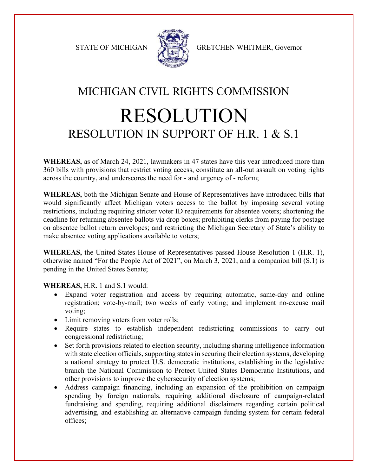

STATE OF MICHIGAN A GRETCHEN WHITMER, Governor

## MICHIGAN CIVIL RIGHTS COMMISSION RESOLUTION RESOLUTION IN SUPPORT OF H.R. 1 & S.1

**WHEREAS,** as of March 24, 2021, lawmakers in 47 states have this year introduced more than 360 bills with provisions that restrict voting access, constitute an all-out assault on voting rights across the country, and underscores the need for - and urgency of - reform;

**WHEREAS,** both the Michigan Senate and House of Representatives have introduced bills that would significantly affect Michigan voters access to the ballot by imposing several voting restrictions, including requiring stricter voter ID requirements for absentee voters; shortening the deadline for returning absentee ballots via drop boxes; prohibiting clerks from paying for postage on absentee ballot return envelopes; and restricting the Michigan Secretary of State's ability to make absentee voting applications available to voters;

**WHEREAS,** the United States House of Representatives passed House Resolution 1 (H.R. 1), otherwise named "For the People Act of 2021", on March 3, 2021, and a companion bill (S.1) is pending in the United States Senate;

**WHEREAS,** H.R. 1 and S.1 would:

- Expand voter registration and access by requiring automatic, same-day and online registration; vote-by-mail; two weeks of early voting; and implement no-excuse mail voting;
- Limit removing voters from voter rolls;
- Require states to establish independent redistricting commissions to carry out congressional redistricting;
- Set forth provisions related to election security, including sharing intelligence information with state election officials, supporting states in securing their election systems, developing a national strategy to protect U.S. democratic institutions, establishing in the legislative branch the National Commission to Protect United States Democratic Institutions, and other provisions to improve the cybersecurity of election systems;
- Address campaign financing, including an expansion of the prohibition on campaign spending by foreign nationals, requiring additional disclosure of campaign-related fundraising and spending, requiring additional disclaimers regarding certain political advertising, and establishing an alternative campaign funding system for certain federal offices;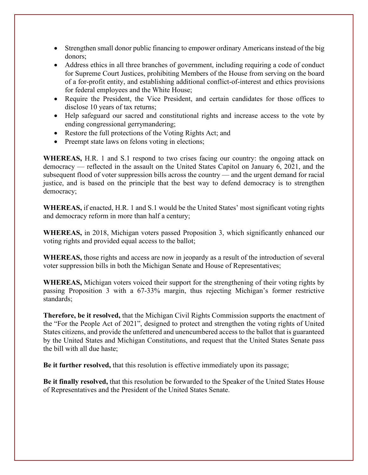- Strengthen small donor public financing to empower ordinary Americans instead of the big donors;
- Address ethics in all three branches of government, including requiring a code of conduct for Supreme Court Justices, prohibiting Members of the House from serving on the board of a for-profit entity, and establishing additional conflict-of-interest and ethics provisions for federal employees and the White House;
- Require the President, the Vice President, and certain candidates for those offices to disclose 10 years of tax returns;
- Help safeguard our sacred and constitutional rights and increase access to the vote by ending congressional gerrymandering;
- Restore the full protections of the Voting Rights Act; and
- Preempt state laws on felons voting in elections;

**WHEREAS,** H.R. 1 and S.1 respond to two crises facing our country: the ongoing attack on democracy — reflected in the assault on the United States Capitol on January 6, 2021, and the subsequent flood of voter suppression bills across the country — and the urgent demand for racial justice, and is based on the principle that the best way to defend democracy is to strengthen democracy;

**WHEREAS,** if enacted, H.R. 1 and S.1 would be the United States' most significant voting rights and democracy reform in more than half a century;

**WHEREAS,** in 2018, Michigan voters passed Proposition 3, which significantly enhanced our voting rights and provided equal access to the ballot;

**WHEREAS,** those rights and access are now in jeopardy as a result of the introduction of several voter suppression bills in both the Michigan Senate and House of Representatives;

**WHEREAS,** Michigan voters voiced their support for the strengthening of their voting rights by passing Proposition 3 with a 67-33% margin, thus rejecting Michigan's former restrictive standards;

**Therefore, be it resolved,** that the Michigan Civil Rights Commission supports the enactment of the "For the People Act of 2021", designed to protect and strengthen the voting rights of United States citizens, and provide the unfettered and unencumbered access to the ballot that is guaranteed by the United States and Michigan Constitutions, and request that the United States Senate pass the bill with all due haste;

**Be it further resolved,** that this resolution is effective immediately upon its passage;

**Be it finally resolved,** that this resolution be forwarded to the Speaker of the United States House of Representatives and the President of the United States Senate.